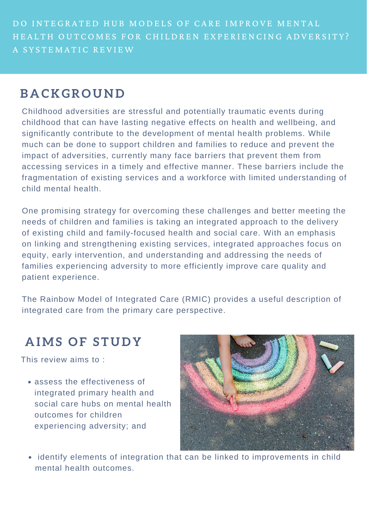DO INTEGRATED HUB MODELS OF CARE IMPROVE MENTAL HEALTH OUTCOMES FOR CHILDREN EXPERIENCING ADVERSITY? A SYSTEMATIC REVIEW

## **B A C K GR O U N D**

Childhood adversities are stressful and potentially traumatic events during childhood that can have lasting negative effects on health and wellbeing, and significantly contribute to the development of mental health problems. While much can be done to support children and families to reduce and prevent the impact of adversities, currently many face barriers that prevent them from accessing services in a timely and effective manner. These barriers include the fragmentation of existing services and a workforce with limited understanding of child mental health.

One promising strategy for overcoming these challenges and better meeting the needs of children and families is taking an integrated approach to the delivery of existing child and family-focused health and social care. With an emphasis on linking and strengthening existing services, integrated approaches focus on equity, early intervention, and understanding and addressing the needs of families experiencing adversity to more efficiently improve care quality and

patient experience.

The Rainbow Model of Integrated Care (RMIC) provides a useful description of integrated care from the primary care perspective.

# **A IMS O F S T U D Y**

assess the effectiveness of integrated primary health and social care hubs on mental health outcomes for children experiencing adversity; and



This review aims to :

identify elements of integration that can be linked to improvements in child  $\bullet$ mental health outcomes.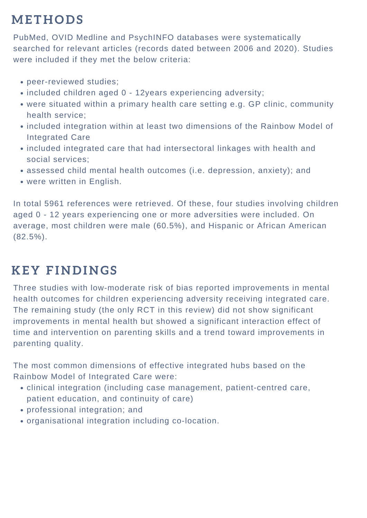### **ME T H O D S**

In total 5961 references were retrieved. Of these, four studies involving children aged 0 - 12 years experiencing one or more adversities were included. On average, most children were male (60.5%), and Hispanic or African American  $(82.5\%)$ .

- clinical integration (including case management, patient-centred care, patient education, and continuity of care)
- professional integration; and
- organisational integration including co-location.

PubMed, OVID Medline and PsychINFO databases were systematically searched for relevant articles (records dated between 2006 and 2020). Studies were included if they met the below criteria:

- peer-reviewed studies;
- included children aged 0 12years experiencing adversity;
- were situated within a primary health care setting e.g. GP clinic, community health service;
- included integration within at least two dimensions of the Rainbow Model of Integrated Care
- included integrated care that had intersectoral linkages with health and social services;
- assessed child mental health outcomes (i.e. depression, anxiety); and
- were written in English.

### **K E Y F I N D I N GS**

Three studies with low-moderate risk of bias reported improvements in mental health outcomes for children experiencing adversity receiving integrated care. The remaining study (the only RCT in this review) did not show significant improvements in mental health but showed a significant interaction effect of time and intervention on parenting skills and a trend toward improvements in parenting quality.

The most common dimensions of effective integrated hubs based on the Rainbow Model of Integrated Care were: